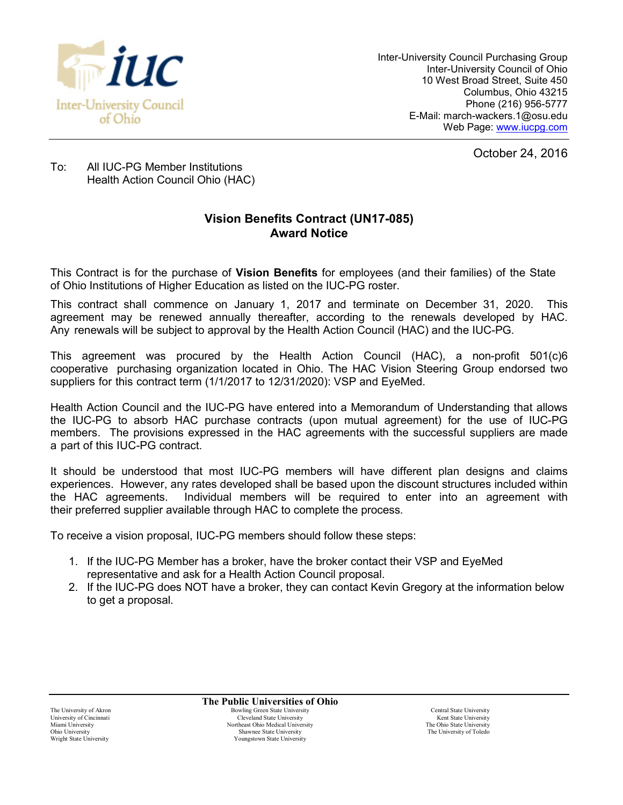

Inter-University Council Purchasing Group Inter-University Council of Ohio 10 West Broad Street, Suite 450 Columbus, Ohio 43215 Phone (216) 956-5777 E-Mail: march-wackers.1@osu.edu Web Page: [www.iucpg.com](http://www.iucpg.com/)

October 24, 2016

To: All IUC-PG Member Institutions Health Action Council Ohio (HAC)

## **Vision Benefits Contract (UN17-085) Award Notice**

This Contract is for the purchase of **Vision Benefits** for employees (and their families) of the State of Ohio Institutions of Higher Education as listed on the IUC-PG roster.

This contract shall commence on January 1, 2017 and terminate on December 31, 2020. This agreement may be renewed annually thereafter, according to the renewals developed by HAC. Any renewals will be subject to approval by the Health Action Council (HAC) and the IUC-PG.

This agreement was procured by the Health Action Council (HAC), a non-profit 501(c)6 cooperative purchasing organization located in Ohio. The HAC Vision Steering Group endorsed two suppliers for this contract term (1/1/2017 to 12/31/2020): VSP and EyeMed.

Health Action Council and the IUC-PG have entered into a Memorandum of Understanding that allows the IUC-PG to absorb HAC purchase contracts (upon mutual agreement) for the use of IUC-PG members. The provisions expressed in the HAC agreements with the successful suppliers are made a part of this IUC-PG contract.

It should be understood that most IUC-PG members will have different plan designs and claims experiences. However, any rates developed shall be based upon the discount structures included within the HAC agreements. Individual members will be required to enter into an agreement with their preferred supplier available through HAC to complete the process.

To receive a vision proposal, IUC-PG members should follow these steps:

- 1. If the IUC-PG Member has a broker, have the broker contact their VSP and EyeMed representative and ask for a Health Action Council proposal.
- 2. If the IUC-PG does NOT have a broker, they can contact Kevin Gregory at the information below to get a proposal.

**The Public Universities of Ohio** The University of Akron **Bowling Green State University** Central State University Central State University University of Cincinnati Cleveland State University Cleveland State University Cleveland State University Cleveland State University Night Cleveland State University Night Cleveland State University Night Cleveland State U Miami University Northeast Ohio Medical University Northeast Ohio Medical University The Ohio State University<br>
2011 - The University Shawnee State University The University The University of Toledo Ohio University Shawnee State University Shawnee State University Shawnee State University Shawnee State University Shawnee State University Shawnee State University Shawnee State University Shawnee State University Shawne Youngstown State University